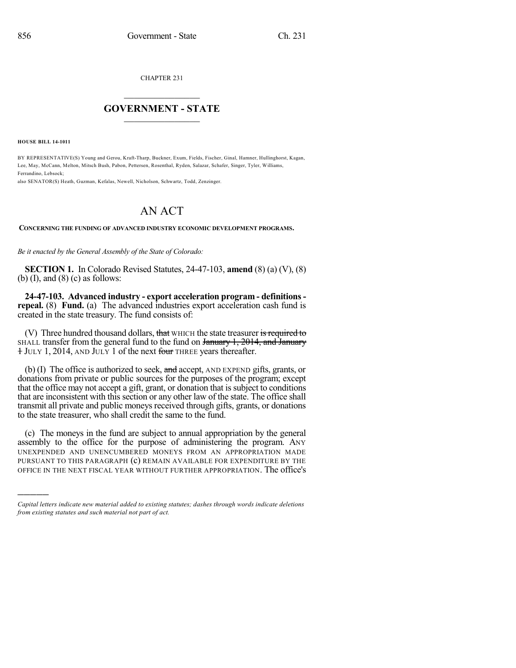CHAPTER 231

## $\mathcal{L}_\text{max}$  . The set of the set of the set of the set of the set of the set of the set of the set of the set of the set of the set of the set of the set of the set of the set of the set of the set of the set of the set **GOVERNMENT - STATE**  $\_$   $\_$   $\_$   $\_$   $\_$   $\_$   $\_$   $\_$

**HOUSE BILL 14-1011**

)))))

BY REPRESENTATIVE(S) Young and Gerou, Kraft-Tharp, Buckner, Exum, Fields, Fischer, Ginal, Hamner, Hullinghorst, Kagan, Lee, May, McCann, Melton, Mitsch Bush, Pabon, Pettersen, Rosenthal, Ryden, Salazar, Schafer, Singer, Tyler, Williams, Ferrandino, Lebsock;

also SENATOR(S) Heath, Guzman, Kefalas, Newell, Nicholson, Schwartz, Todd, Zenzinger.

## AN ACT

**CONCERNING THE FUNDING OF ADVANCED INDUSTRY ECONOMIC DEVELOPMENT PROGRAMS.**

*Be it enacted by the General Assembly of the State of Colorado:*

**SECTION 1.** In Colorado Revised Statutes, 24-47-103, **amend** (8) (a) (V), (8) (b)  $(I)$ , and  $(8)$   $(c)$  as follows:

**24-47-103. Advanced industry - export acceleration program - definitionsrepeal.** (8) **Fund.** (a) The advanced industries export acceleration cash fund is created in the state treasury. The fund consists of:

(V) Three hundred thousand dollars, that WHICH the state treasurer is required to SHALL transfer from the general fund to the fund on  $\frac{1}{2014}$ ,  $\frac{2014}{1014}$ , and  $\frac{1}{2014}$ <sup>1</sup> JULY 1, 2014, AND JULY 1 of the next four THREE years thereafter.

(b) (I) The office is authorized to seek, and accept, AND EXPEND gifts, grants, or donations from private or public sources for the purposes of the program; except that the office may not accept a gift, grant, or donation that is subject to conditions that are inconsistent with this section or any other law of the state. The office shall transmit all private and public moneys received through gifts, grants, or donations to the state treasurer, who shall credit the same to the fund.

(c) The moneys in the fund are subject to annual appropriation by the general assembly to the office for the purpose of administering the program. ANY UNEXPENDED AND UNENCUMBERED MONEYS FROM AN APPROPRIATION MADE PURSUANT TO THIS PARAGRAPH (c) REMAIN AVAILABLE FOR EXPENDITURE BY THE OFFICE IN THE NEXT FISCAL YEAR WITHOUT FURTHER APPROPRIATION. The office's

*Capital letters indicate new material added to existing statutes; dashes through words indicate deletions from existing statutes and such material not part of act.*